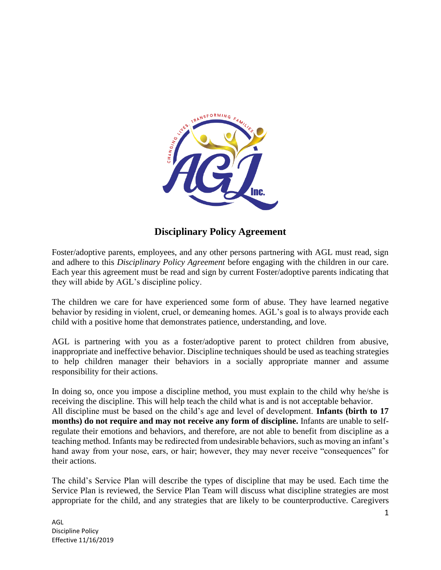

# **Disciplinary Policy Agreement**

Foster/adoptive parents, employees, and any other persons partnering with AGL must read, sign and adhere to this *Disciplinary Policy Agreement* before engaging with the children in our care. Each year this agreement must be read and sign by current Foster/adoptive parents indicating that they will abide by AGL's discipline policy.

The children we care for have experienced some form of abuse. They have learned negative behavior by residing in violent, cruel, or demeaning homes. AGL's goal is to always provide each child with a positive home that demonstrates patience, understanding, and love.

AGL is partnering with you as a foster/adoptive parent to protect children from abusive, inappropriate and ineffective behavior. Discipline techniques should be used as teaching strategies to help children manager their behaviors in a socially appropriate manner and assume responsibility for their actions.

In doing so, once you impose a discipline method, you must explain to the child why he/she is receiving the discipline. This will help teach the child what is and is not acceptable behavior. All discipline must be based on the child's age and level of development. **Infants (birth to 17 months) do not require and may not receive any form of discipline.** Infants are unable to selfregulate their emotions and behaviors, and therefore, are not able to benefit from discipline as a teaching method. Infants may be redirected from undesirable behaviors, such as moving an infant's hand away from your nose, ears, or hair; however, they may never receive "consequences" for their actions.

The child's Service Plan will describe the types of discipline that may be used. Each time the Service Plan is reviewed, the Service Plan Team will discuss what discipline strategies are most appropriate for the child, and any strategies that are likely to be counterproductive. Caregivers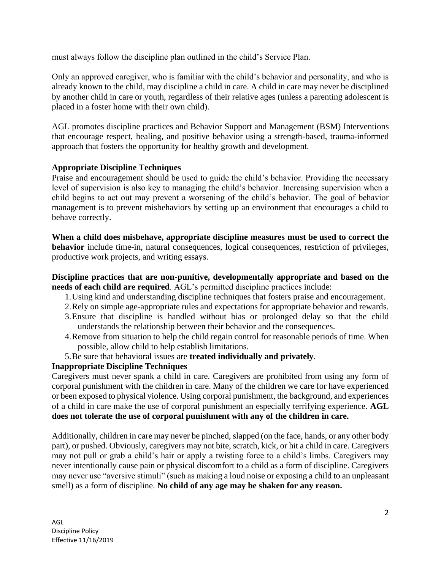must always follow the discipline plan outlined in the child's Service Plan.

Only an approved caregiver, who is familiar with the child's behavior and personality, and who is already known to the child, may discipline a child in care. A child in care may never be disciplined by another child in care or youth, regardless of their relative ages (unless a parenting adolescent is placed in a foster home with their own child).

AGL promotes discipline practices and Behavior Support and Management (BSM) Interventions that encourage respect, healing, and positive behavior using a strength-based, trauma-informed approach that fosters the opportunity for healthy growth and development.

### **Appropriate Discipline Techniques**

Praise and encouragement should be used to guide the child's behavior. Providing the necessary level of supervision is also key to managing the child's behavior. Increasing supervision when a child begins to act out may prevent a worsening of the child's behavior. The goal of behavior management is to prevent misbehaviors by setting up an environment that encourages a child to behave correctly.

**When a child does misbehave, appropriate discipline measures must be used to correct the behavior** include time-in, natural consequences, logical consequences, restriction of privileges, productive work projects, and writing essays.

### **Discipline practices that are non-punitive, developmentally appropriate and based on the needs of each child are required**. AGL's permitted discipline practices include:

- 1.Using kind and understanding discipline techniques that fosters praise and encouragement.
- 2.Rely on simple age-appropriate rules and expectations for appropriate behavior and rewards.
- 3.Ensure that discipline is handled without bias or prolonged delay so that the child understands the relationship between their behavior and the consequences.
- 4.Remove from situation to help the child regain control for reasonable periods of time. When possible, allow child to help establish limitations.
- 5.Be sure that behavioral issues are **treated individually and privately**.

## **Inappropriate Discipline Techniques**

Caregivers must never spank a child in care. Caregivers are prohibited from using any form of corporal punishment with the children in care. Many of the children we care for have experienced or been exposed to physical violence. Using corporal punishment, the background, and experiences of a child in care make the use of corporal punishment an especially terrifying experience. **AGL does not tolerate the use of corporal punishment with any of the children in care.** 

Additionally, children in care may never be pinched, slapped (on the face, hands, or any other body part), or pushed. Obviously, caregivers may not bite, scratch, kick, or hit a child in care. Caregivers may not pull or grab a child's hair or apply a twisting force to a child's limbs. Caregivers may never intentionally cause pain or physical discomfort to a child as a form of discipline. Caregivers may never use "aversive stimuli" (such as making a loud noise or exposing a child to an unpleasant smell) as a form of discipline. **No child of any age may be shaken for any reason.**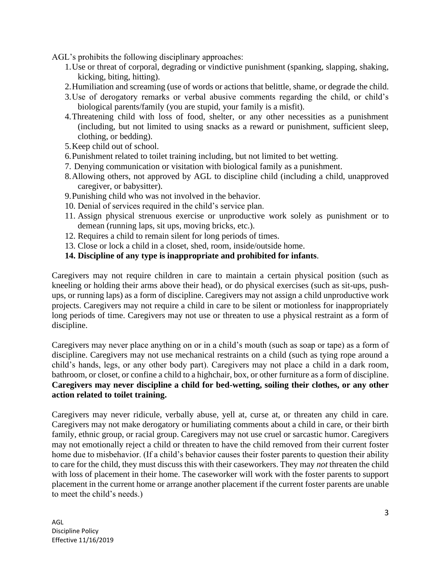AGL's prohibits the following disciplinary approaches:

- 1.Use or threat of corporal, degrading or vindictive punishment (spanking, slapping, shaking, kicking, biting, hitting).
- 2.Humiliation and screaming (use of words or actions that belittle, shame, or degrade the child.
- 3.Use of derogatory remarks or verbal abusive comments regarding the child, or child's biological parents/family (you are stupid, your family is a misfit).
- 4.Threatening child with loss of food, shelter, or any other necessities as a punishment (including, but not limited to using snacks as a reward or punishment, sufficient sleep, clothing, or bedding).
- 5.Keep child out of school.
- 6.Punishment related to toilet training including, but not limited to bet wetting.
- 7. Denying communication or visitation with biological family as a punishment.
- 8.Allowing others, not approved by AGL to discipline child (including a child, unapproved caregiver, or babysitter).
- 9.Punishing child who was not involved in the behavior.
- 10. Denial of services required in the child's service plan.
- 11. Assign physical strenuous exercise or unproductive work solely as punishment or to demean (running laps, sit ups, moving bricks, etc.).
- 12. Requires a child to remain silent for long periods of times.
- 13. Close or lock a child in a closet, shed, room, inside/outside home.
- **14. Discipline of any type is inappropriate and prohibited for infants**.

Caregivers may not require children in care to maintain a certain physical position (such as kneeling or holding their arms above their head), or do physical exercises (such as sit-ups, pushups, or running laps) as a form of discipline. Caregivers may not assign a child unproductive work projects. Caregivers may not require a child in care to be silent or motionless for inappropriately long periods of time. Caregivers may not use or threaten to use a physical restraint as a form of discipline.

Caregivers may never place anything on or in a child's mouth (such as soap or tape) as a form of discipline. Caregivers may not use mechanical restraints on a child (such as tying rope around a child's hands, legs, or any other body part). Caregivers may not place a child in a dark room, bathroom, or closet, or confine a child to a highchair, box, or other furniture as a form of discipline. **Caregivers may never discipline a child for bed-wetting, soiling their clothes, or any other action related to toilet training.**

Caregivers may never ridicule, verbally abuse, yell at, curse at, or threaten any child in care. Caregivers may not make derogatory or humiliating comments about a child in care, or their birth family, ethnic group, or racial group. Caregivers may not use cruel or sarcastic humor. Caregivers may not emotionally reject a child or threaten to have the child removed from their current foster home due to misbehavior. (If a child's behavior causes their foster parents to question their ability to care for the child, they must discuss this with their caseworkers. They may *not* threaten the child with loss of placement in their home. The caseworker will work with the foster parents to support placement in the current home or arrange another placement if the current foster parents are unable to meet the child's needs.)